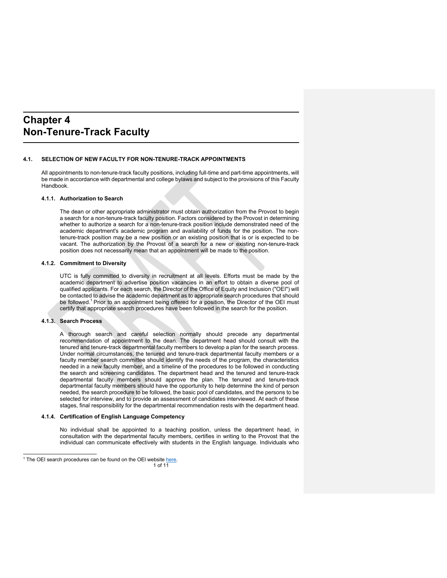# **Chapter 4 Non-Tenure-Track Faculty**

### **4.1. SELECTION OF NEW FACULTY FOR NON-TENURE-TRACK APPOINTMENTS**

All appointments to non-tenure-track faculty positions, including full-time and part-time appointments, will be made in accordance with departmental and college bylaws and subject to the provisions of this Faculty Handbook.

#### **4.1.1. Authorization to Search**

The dean or other appropriate administrator must obtain authorization from the Provost to begin a search for a non-tenure-track faculty position. Factors considered by the Provost in determining whether to authorize a search for a non-tenure-track position include demonstrated need of the academic department's academic program and availability of funds for the position. The nontenure-track position may be a new position or an existing position that is or is expected to be vacant. The authorization by the Provost of a search for a new or existing non-tenure-track position does not necessarily mean that an appointment will be made to the position.

#### **4.1.2. Commitment to Diversity**

UTC is fully committed to diversity in recruitment at all levels. Efforts must be made by the academic department to advertise position vacancies in an effort to obtain a diverse pool of qualified applicants. For each search, the Director of the Office of Equity and Inclusion ("OEI") will be contacted to advise the academic department as to appropriate search procedures that should be followed.<sup>1</sup> Prior to an appointment being offered for a position, the Director of the OEI must certify that appropriate search procedures have been followed in the search for the position.

#### **4.1.3. Search Process**

A thorough search and careful selection normally should precede any departmental recommendation of appointment to the dean. The department head should consult with the tenured and tenure-track departmental faculty members to develop a plan for the search process. Under normal circumstances, the tenured and tenure-track departmental faculty members or a faculty member search committee should identify the needs of the program, the characteristics needed in a new faculty member, and a timeline of the procedures to be followed in conducting the search and screening candidates. The department head and the tenured and tenure-track departmental faculty members should approve the plan. The tenured and tenure-track departmental faculty members should have the opportunity to help determine the kind of person needed, the search procedure to be followed, the basic pool of candidates, and the persons to be selected for interview, and to provide an assessment of candidates interviewed. At each of these stages, final responsibility for the departmental recommendation rests with the department head.

## **4.1.4. Certification of English Language Competency**

No individual shall be appointed to a teaching position, unless the department head, in consultation with the departmental faculty members, certifies in writing to the Provost that the individual can communicate effectively with students in the English language. Individuals who

<sup>&</sup>lt;sup>1</sup> The OEI search procedures can be found on the OEI website here.

<sup>1</sup> of 11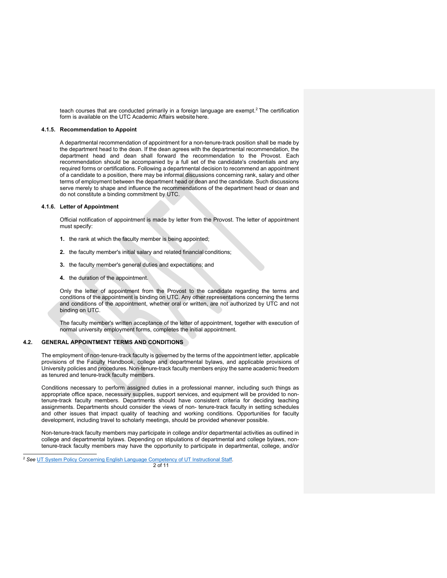teach courses that are conducted primarily in a foreign language are exempt.<sup>2</sup> The certification form is available on the UTC Academic Affairs website here.

#### **4.1.5. Recommendation to Appoint**

A departmental recommendation of appointment for a non-tenure-track position shall be made by the department head to the dean. If the dean agrees with the departmental recommendation, the department head and dean shall forward the recommendation to the Provost. Each recommendation should be accompanied by a full set of the candidate's credentials and any required forms or certifications. Following a departmental decision to recommend an appointment of a candidate to a position, there may be informal discussions concerning rank, salary and other terms of employment between the department head or dean and the candidate. Such discussions serve merely to shape and influence the recommendations of the department head or dean and do not constitute a binding commitment by UTC.

#### **4.1.6. Letter of Appointment**

Official notification of appointment is made by letter from the Provost. The letter of appointment must specify:

- **1.** the rank at which the faculty member is being appointed;
- **2.** the faculty member's initial salary and related financial conditions;
- **3.** the faculty member's general duties and expectations; and
- **4.** the duration of the appointment.

Only the letter of appointment from the Provost to the candidate regarding the terms and conditions of the appointment is binding on UTC. Any other representations concerning the terms and conditions of the appointment, whether oral or written, are not authorized by UTC and not binding on UTC.

The faculty member's written acceptance of the letter of appointment, together with execution of normal university employment forms, completes the initial appointment.

#### **4.2. GENERAL APPOINTMENT TERMS AND CONDITIONS**

The employment of non-tenure-track faculty is governed by the terms of the appointment letter, applicable provisions of the Faculty Handbook, college and departmental bylaws, and applicable provisions of University policies and procedures. Non-tenure-track faculty members enjoy the same academic freedom as tenured and tenure-track faculty members.

Conditions necessary to perform assigned duties in a professional manner, including such things as appropriate office space, necessary supplies, support services, and equipment will be provided to nontenure-track faculty members. Departments should have consistent criteria for deciding teaching assignments. Departments should consider the views of non- tenure-track faculty in setting schedules and other issues that impact quality of teaching and working conditions. Opportunities for faculty development, including travel to scholarly meetings, should be provided whenever possible.

Non-tenure-track faculty members may participate in college and/or departmental activities as outlined in college and departmental bylaws. Depending on stipulations of departmental and college bylaws, nontenure-track faculty members may have the opportunity to participate in departmental, college, and/or

<sup>&</sup>lt;sup>2</sup> See UT System Policy Concerning English Language Competency of UT Instructional Staff.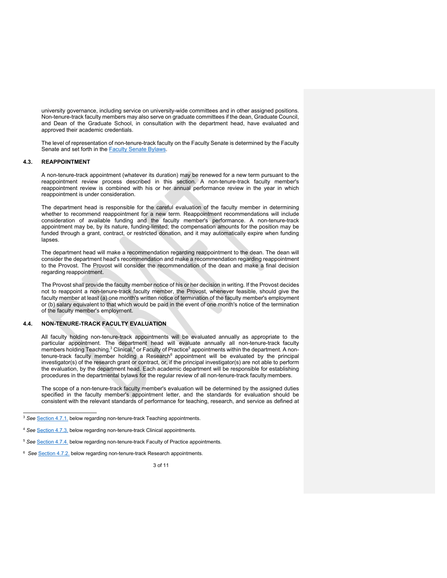university governance, including service on university-wide committees and in other assigned positions. Non-tenure-track faculty members may also serve on graduate committees if the dean, Graduate Council, and Dean of the Graduate School, in consultation with the department head, have evaluated and approved their academic credentials.

The level of representation of non-tenure-track faculty on the Faculty Senate is determined by the Faculty Senate and set forth in the **Faculty Senate Bylaws**.

# **4.3. REAPPOINTMENT**

A non-tenure-track appointment (whatever its duration) may be renewed for a new term pursuant to the reappointment review process described in this section. A non-tenure-track faculty member's reappointment review is combined with his or her annual performance review in the year in which reappointment is under consideration.

The department head is responsible for the careful evaluation of the faculty member in determining whether to recommend reappointment for a new term. Reappointment recommendations will include consideration of available funding and the faculty member's performance. A non-tenure-track appointment may be, by its nature, funding-limited; the compensation amounts for the position may be funded through a grant, contract, or restricted donation, and it may automatically expire when funding lapses.

The department head will make a recommendation regarding reappointment to the dean. The dean will consider the department head's recommendation and make a recommendation regarding reappointment to the Provost. The Provost will consider the recommendation of the dean and make a final decision regarding reappointment.

The Provost shall provide the faculty member notice of his or her decision in writing. If the Provost decides not to reappoint a non-tenure-track faculty member, the Provost, whenever feasible, should give the faculty member at least (a) one month's written notice of termination of the faculty member's employment or (b) salary equivalent to that which would be paid in the event of one month's notice of the termination of the faculty member's employment.

#### **4.4. NON-TENURE-TRACK FACULTY EVALUATION**

All faculty holding non-tenure-track appointments will be evaluated annually as appropriate to the particular appointment. The department head will evaluate annually all non-tenure-track faculty members holding Teaching,<sup>3</sup> Clinical,<sup>4</sup> or Faculty of Practice<sup>5</sup> appointments within the department. A nontenure-track faculty member holding a Research<sup>6</sup> appointment will be evaluated by the principal investigator(s) of the research grant or contract, or, if the principal investigator(s) are not able to perform the evaluation, by the department head. Each academic department will be responsible for establishing procedures in the departmental bylaws for the regular review of all non-tenure-track faculty members.

The scope of a non-tenure-track faculty member's evaluation will be determined by the assigned duties specified in the faculty member's appointment letter, and the standards for evaluation should be consistent with the relevant standards of performance for teaching, research, and service as defined at

<sup>&</sup>lt;sup>3</sup> See **Section 4.7.1**, below regarding non-tenure-track Teaching appointments.

<sup>4</sup> *See* Section 4.7.3. below regarding non-tenure-track Clinical appointments.

<sup>&</sup>lt;sup>5</sup> See **Section 4.7.4.** below regarding non-tenure-track Faculty of Practice appointments.

<sup>&</sup>lt;sup>6</sup> See **Section 4.7.2.** below regarding non-tenure-track Research appointments.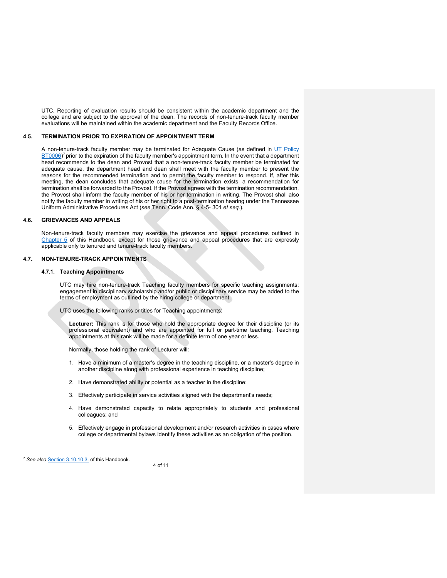UTC. Reporting of evaluation results should be consistent within the academic department and the college and are subject to the approval of the dean. The records of non-tenure-track faculty member evaluations will be maintained within the academic department and the Faculty Records Office.

#### **4.5. TERMINATION PRIOR TO EXPIRATION OF APPOINTMENT TERM**

A non-tenure-track faculty member may be terminated for Adequate Cause (as defined in UT Policy  $\overline{BTO006}$ <sup>7</sup> prior to the expiration of the faculty member's appointment term. In the event that a department head recommends to the dean and Provost that a non-tenure-track faculty member be terminated for adequate cause, the department head and dean shall meet with the faculty member to present the reasons for the recommended termination and to permit the faculty member to respond. If, after this meeting, the dean concludes that adequate cause for the termination exists, a recommendation for termination shall be forwarded to the Provost. If the Provost agrees with the termination recommendation, the Provost shall inform the faculty member of his or her termination in writing. The Provost shall also notify the faculty member in writing of his or her right to a post-termination hearing under the Tennessee Uniform Administrative Procedures Act (*see* Tenn. Code Ann. § 4-5- 301 *et seq.*).

### **4.6. GRIEVANCES AND APPEALS**

Non-tenure-track faculty members may exercise the grievance and appeal procedures outlined in Chapter 5 of this Handbook, except for those grievance and appeal procedures that are expressly applicable only to tenured and tenure-track faculty members.

#### **4.7. NON-TENURE-TRACK APPOINTMENTS**

#### **4.7.1. Teaching Appointments**

UTC may hire non-tenure-track Teaching faculty members for specific teaching assignments; engagement in disciplinary scholarship and/or public or disciplinary service may be added to the terms of employment as outlined by the hiring college or department.

UTC uses the following ranks or titles for Teaching appointments:

**Lecturer:** This rank is for those who hold the appropriate degree for their discipline (or its professional equivalent) and who are appointed for full or part-time teaching. Teaching appointments at this rank will be made for a definite term of one year or less.

Normally, those holding the rank of Lecturer will:

- 1. Have a minimum of a master's degree in the teaching discipline, or a master's degree in another discipline along with professional experience in teaching discipline;
- 2. Have demonstrated ability or potential as a teacher in the discipline;
- 3. Effectively participate in service activities aligned with the department's needs;
- 4. Have demonstrated capacity to relate appropriately to students and professional colleagues; and
- 5. Effectively engage in professional development and/or research activities in cases where college or departmental bylaws identify these activities as an obligation of the position.

4 of 11

<sup>7</sup> *See also* Section 3.10.10.3. of this Handbook.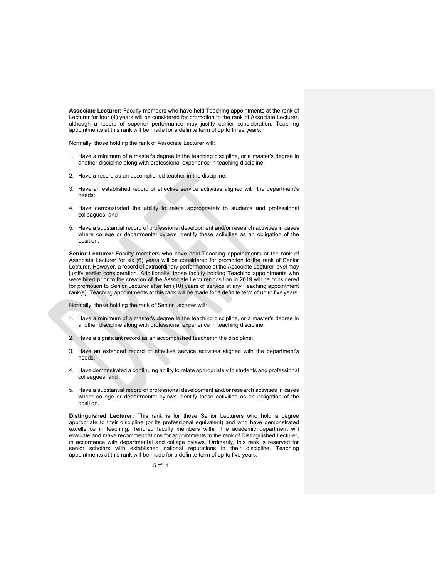**Associate Lecturer:** Faculty members who have held Teaching appointments at the rank of Lecturer for four (4) years will be considered for promotion to the rank of Associate Lecturer, although a record of superior performance may justify earlier consideration. Teaching appointments at this rank will be made for a definite term of up to three years.

Normally, those holding the rank of Associate Lecturer will:

- 1. Have a minimum of a master's degree in the teaching discipline, or a master's degree in another discipline along with professional experience in teaching discipline;
- 2. Have a record as an accomplished teacher in the discipline;
- 3. Have an established record of effective service activities aligned with the department's needs;
- 4. Have demonstrated the ability to relate appropriately to students and professional colleagues; and
- 5. Have a substantial record of professional development and/or research activities in cases where college or departmental bylaws identify these activities as an obligation of the position.

**Senior Lecturer:** Faculty members who have held Teaching appointments at the rank of Associate Lecturer for six (6) years will be considered for promotion to the rank of Senior Lecturer. However, a record of extraordinary performance at the Associate Lecturer level may justify earlier consideration. Additionally, those faculty holding Teaching appointments who were hired prior to the creation of the Associate Lecturer position in 2019 will be considered for promotion to Senior Lecturer after ten (10) years of service at any Teaching appointment rank(s). Teaching appointments at this rank will be made for a definite term of up to five years.

Normally, those holding the rank of Senior Lecturer will:

- 1. Have a minimum of a master's degree in the teaching discipline, or a master's degree in another discipline along with professional experience in teaching discipline;
- 2. Have a significant record as an accomplished teacher in the discipline;
- 3. Have an extended record of effective service activities aligned with the department's needs;
- 4. Have demonstrated a continuing ability to relate appropriately to students and professional colleagues; and
- 5. Have a substantial record of professional development and/or research activities in cases where college or departmental bylaws identify these activities as an obligation of the position.

**Distinguished Lecturer:** This rank is for those Senior Lecturers who hold a degree appropriate to their discipline (or its professional equivalent) and who have demonstrated excellence in teaching. Tenured faculty members within the academic department will evaluate and make recommendations for appointments to the rank of Distinguished Lecturer, in accordance with departmental and college bylaws. Ordinarily, this rank is reserved for senior scholars with established national reputations in their discipline. Teaching appointments at this rank will be made for a definite term of up to five years.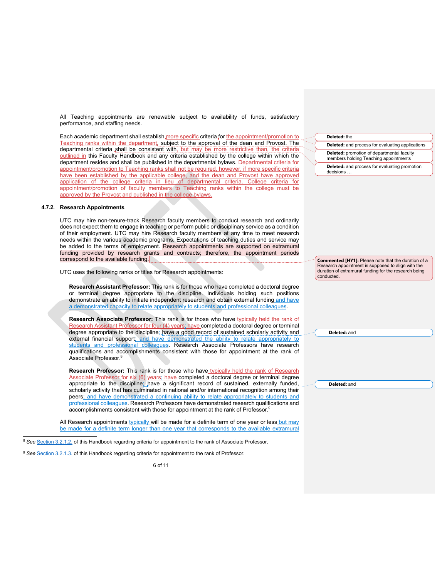All Teaching appointments are renewable subject to availability of funds, satisfactory performance, and staffing needs.

Each academic department shall establish more specific criteria for the appointment/promotion to Teaching ranks within the department, subject to the approval of the dean and Provost. The departmental criteria shall be consistent with, but may be more restrictive than, the criteria outlined in this Faculty Handbook and any criteria established by the college within which the department resides and shall be published in the departmental bylaws. Departmental criteria for appointment/promotion to Teaching ranks shall not be required, however, if more specific criteria have been established by the applicable college, and the dean and Provost have approved application of the college criteria in lieu of departmental criteria. College criteria for appointment/promotion of faculty members to Teaching ranks within the college must be approved by the Provost and published in the college bylaws.

#### **4.7.2. Research Appointments**

UTC may hire non-tenure-track Research faculty members to conduct research and ordinarily does not expect them to engage in teaching or perform public or disciplinary service as a condition of their employment. UTC may hire Research faculty members at any time to meet research needs within the various academic programs. Expectations of teaching duties and service may be added to the terms of employment. Research appointments are supported on extramural funding provided by research grants and contracts; therefore, the appointment periods correspond to the available funding.

UTC uses the following ranks or titles for Research appointments:

**Research Assistant Professor:** This rank is for those who have completed a doctoral degree or terminal degree appropriate to the discipline. Individuals holding such positions demonstrate an ability to initiate independent research and obtain external funding and have a demonstrated capacity to relate appropriately to students and professional colleagues.

**Research Associate Professor:** This rank is for those who have typically held the rank of Research Assistant Professor for four (4) years; have completed a doctoral degree or terminal degree appropriate to the discipline; have a good record of sustained scholarly activity and external financial support; and have demonstrated the ability to relate appropriately to students and professional colleagues. Research Associate Professors have research qualifications and accomplishments consistent with those for appointment at the rank of Associate Professor.8

**Research Professor:** This rank is for those who have typically held the rank of Research Associate Professor for six (6) years; have completed a doctoral degree or terminal degree appropriate to the discipline; have a significant record of sustained, externally funded, scholarly activity that has culminated in national and/or international recognition among their peers; and have demonstrated a continuing ability to relate appropriately to students and professional colleagues. Research Professors have demonstrated research qualifications and accomplishments consistent with those for appointment at the rank of Professor.<sup>9</sup>

All Research appointments typically will be made for a definite term of one year or less but may be made for a definite term longer than one year that corresponds to the available extramural

# **Deleted:** the **Deleted:** and process for evaluating applications **Deleted:** promotion of departmental faculty members holding Teaching appointments **Deleted:** and process for evaluating promotion decisions …

**Commented [HY1]:** Please note that the duration of a Research appointment is supposed to align with the duration of extramural funding for the research being conducted.

**Deleted:** and

**Deleted:** and

<sup>8</sup> See Section 3.2.1.2. of this Handbook regarding criteria for appointment to the rank of Associate Professor.

<sup>&</sup>lt;sup>9</sup> See **Section 3.2.1.3.** of this Handbook regarding criteria for appointment to the rank of Professor.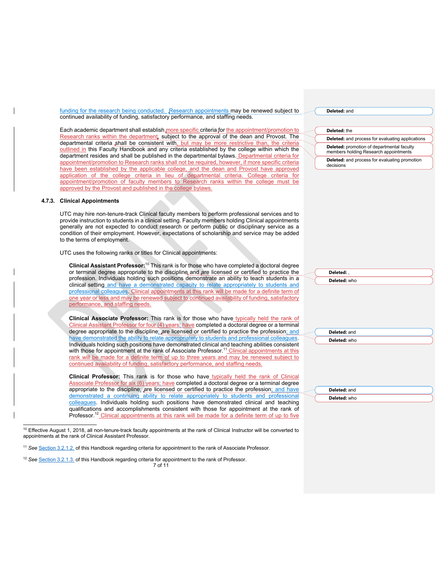funding for the research being conducted. Research appointments may be renewed subject to continued availability of funding, satisfactory performance, and staffing needs.

Each academic department shall establish more specific criteria for the appointment/promotion to Research ranks within the department, subject to the approval of the dean and Provost. The departmental criteria shall be consistent with, but may be more restrictive than, the criteria outlined in this Faculty Handbook and any criteria established by the college within which the department resides and shall be published in the departmental bylaws. Departmental criteria for appointment/promotion to Research ranks shall not be required, however, if more specific criteria have been established by the applicable college, and the dean and Provost have approved application of the college criteria in lieu of departmental criteria. College criteria for appointment/promotion of faculty members to Research ranks within the college must be approved by the Provost and published in the college bylaws.

#### **4.7.3. Clinical Appointments**

UTC may hire non-tenure-track Clinical faculty members to perform professional services and to provide instruction to students in a clinical setting. Faculty members holding Clinical appointments generally are not expected to conduct research or perform public or disciplinary service as a condition of their employment. However, expectations of scholarship and service may be added to the terms of employment.

UTC uses the following ranks or titles for Clinical appointments:

**Clinical Assistant Professor:**<sup>10</sup> This rank is for those who have completed a doctoral degree or terminal degree appropriate to the discipline and are licensed or certified to practice the profession. Individuals holding such positions demonstrate an ability to teach students in a clinical setting and have a demonstrated capacity to relate appropriately to students and professional colleagues. Clinical appointments at this rank will be made for a definite term of one year or less and may be renewed subject to continued availability of funding, satisfactory performance, and staffing needs.

**Clinical Associate Professor:** This rank is for those who have typically held the rank of Clinical Assistant Professor for four (4) years; have completed a doctoral degree or a terminal degree appropriate to the discipline; are licensed or certified to practice the profession; and have demonstrated the ability to relate appropriately to students and professional colleagues Individuals holding such positions have demonstrated clinical and teaching abilities consistent with those for appointment at the rank of Associate Professor.<sup>11</sup> Clinical appointments at this rank will be made for a definite term of up to three years and may be renewed subject to continued availability of funding, satisfactory performance, and staffing needs.

**Clinical Professor:** This rank is for those who have typically held the rank of Clinical Associate Professor for six (6) years; have completed a doctoral degree or a terminal degree appropriate to the discipline; are licensed or certified to practice the profession; and have demonstrated a continuing ability to relate appropriately to students and professional colleagues. Individuals holding such positions have demonstrated clinical and teaching qualifications and accomplishments consistent with those for appointment at the rank of Professor.<sup>12</sup> Clinical appointments at this rank will be made for a definite term of up to five

7 of 11 <sup>12</sup> *See* Section 3.2.1.3. of this Handbook regarding criteria for appointment to the rank of Professor.

#### **Deleted:** and

#### **Deleted:** the

**Deleted:** and process for evaluating applications **Deleted:** promotion of departmental faculty members holding Research appointments

**Deleted:** and process for evaluating promotion decisions

| Deletr<br>ea: |  |
|---------------|--|
| Deleted: who  |  |

| ä, | <b>Deleted: and</b> |
|----|---------------------|
|    | Deleted: who        |
|    |                     |
|    |                     |

| <b>Deleted: and</b> |  |
|---------------------|--|
| Deleted: who        |  |

 $10$  Effective August 1, 2018, all non-tenure-track faculty appointments at the rank of Clinical Instructor will be converted to appointments at the rank of Clinical Assistant Professor.

<sup>11</sup> *See* Section 3.2.1.2. of this Handbook regarding criteria for appointment to the rank of Associate Professor.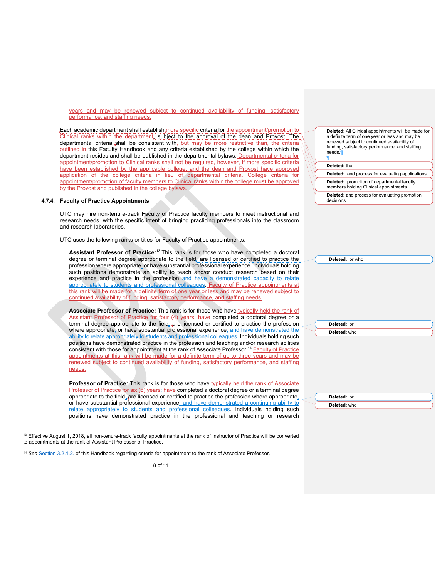years and may be renewed subject to continued availability of funding, satisfactory performance, and staffing needs.

Each academic department shall establish more specific criteria for the appointment/promotion to Clinical ranks within the department, subject to the approval of the dean and Provost. The departmental criteria shall be consistent with, but may be more restrictive than, the criteria outlined in this Faculty Handbook and any criteria established by the college within which the department resides and shall be published in the departmental bylaws. Departmental criteria for appointment/promotion to Clinical ranks shall not be required, however, if more specific criteria have been established by the applicable college, and the dean and Provost have approved application of the college criteria in lieu of departmental criteria. College criteria for appointment/promotion of faculty members to Clinical ranks within the college must be approved by the Provost and published in the college bylaws.

#### **4.7.4. Faculty of Practice Appointments**

UTC may hire non-tenure-track Faculty of Practice faculty members to meet instructional and research needs, with the specific intent of bringing practicing professionals into the classroom and research laboratories.

UTC uses the following ranks or titles for Faculty of Practice appointments:

**Assistant Professor of Practice:** <sup>13</sup> This rank is for those who have completed a doctoral degree or terminal degree appropriate to the field, are licensed or certified to practice the profession where appropriate, or have substantial professional experience. Individuals holding such positions demonstrate an ability to teach and/or conduct research based on their experience and practice in the profession and have a demonstrated capacity to relate appropriately to students and professional colleagues. Faculty of Practice appointments at this rank will be made for a definite term of one year or less and may be renewed subject to continued availability of funding, satisfactory performance, and staffing needs.

**Associate Professor of Practice:** This rank is for those who have typically held the rank of Assistant Professor of Practice for four (4) years; have completed a doctoral degree or a terminal degree appropriate to the field, are licensed or certified to practice the profession where appropriate, or have substantial professional experience; and have demonstrated the ability to relate appropriately to students and professional colleagues. Individuals holding such positions have demonstrated practice in the profession and teaching and/or research abilities consistent with those for appointment at the rank of Associate Professor.<sup>14</sup> Faculty of Practice appointments at this rank will be made for a definite term of up to three years and may be renewed subject to continued availability of funding, satisfactory performance, and staffing needs.

**Professor of Practice:** This rank is for those who have typically held the rank of Associate Professor of Practice for six (6) years; have completed a doctoral degree or a terminal degree appropriate to the field, are licensed or certified to practice the profession where appropriate, or have substantial professional experience; and have demonstrated a continuing ability to relate appropriately to students and professional colleagues. Individuals holding such positions have demonstrated practice in the professional and teaching or research

**Deleted:** All Clinical appointments will be made for a definite term of one year or less and may be renewed subject to continued availability of funding, satisfactory performance, and staffing needs.¶

#### **Deleted:** the

¶

**Deleted:** and process for evaluating applications **Deleted:** promotion of departmental faculty

members holding Clinical appointments

| <b>Deleted:</b> and process for evaluating promotion |  |  |
|------------------------------------------------------|--|--|
| decisions                                            |  |  |

| U               |                 |  |
|-----------------|-----------------|--|
|                 | Deleted: or who |  |
| a<br>J<br>r     |                 |  |
|                 |                 |  |
|                 |                 |  |
| $\frac{e}{2}$   |                 |  |
|                 |                 |  |
|                 |                 |  |
|                 |                 |  |
| f<br>a          |                 |  |
|                 |                 |  |
| ו               | Deleted: or     |  |
| e<br>7          | Deleted: who    |  |
|                 |                 |  |
| יי ייין שון גען |                 |  |
|                 |                 |  |
|                 |                 |  |
|                 |                 |  |
|                 |                 |  |
|                 |                 |  |
| e<br>B          |                 |  |
|                 |                 |  |
|                 | Deleted: or     |  |
| 2               | Deleted: who    |  |

<sup>&</sup>lt;sup>13</sup> Effective August 1, 2018, all non-tenure-track faculty appointments at the rank of Instructor of Practice will be converted to appointments at the rank of Assistant Professor of Practice.

<sup>14</sup> *See* Section 3.2.1.2. of this Handbook regarding criteria for appointment to the rank of Associate Professor.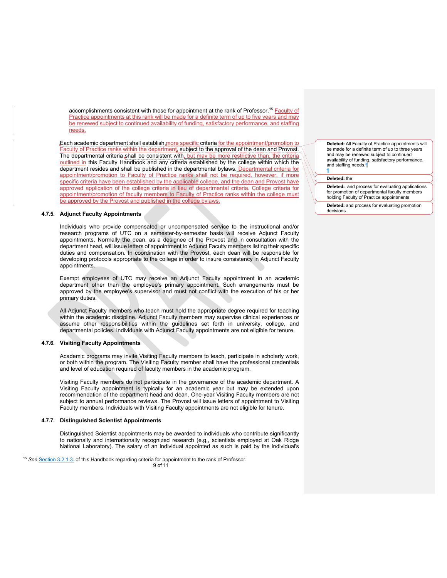accomplishments consistent with those for appointment at the rank of Professor.<sup>15</sup> Faculty of Practice appointments at this rank will be made for a definite term of up to five years and may be renewed subject to continued availability of funding, satisfactory performance, and staffing needs.

Each academic department shall establish more specific criteria for the appointment/promotion to Faculty of Practice ranks within the department, subject to the approval of the dean and Provost. The departmental criteria shall be consistent with, but may be more restrictive than, the criteria outlined in this Faculty Handbook and any criteria established by the college within which the department resides and shall be published in the departmental bylaws. Departmental criteria for appointment/promotion to Faculty of Practice ranks shall not be required, however, if more specific criteria have been established by the applicable college, and the dean and Provost have approved application of the college criteria in lieu of departmental criteria. College criteria for appointment/promotion of faculty members to Faculty of Practice ranks within the college must be approved by the Provost and published in the college bylaws.

#### **4.7.5. Adjunct Faculty Appointments**

Individuals who provide compensated or uncompensated service to the instructional and/or research programs of UTC on a semester-by-semester basis will receive Adjunct Faculty appointments. Normally the dean, as a designee of the Provost and in consultation with the department head, will issue letters of appointment to Adjunct Faculty members listing their specific duties and compensation. In coordination with the Provost, each dean will be responsible for developing protocols appropriate to the college in order to insure consistency in Adjunct Faculty appointments.

Exempt employees of UTC may receive an Adjunct Faculty appointment in an academic department other than the employee's primary appointment. Such arrangements must be approved by the employee's supervisor and must not conflict with the execution of his or her primary duties.

All Adjunct Faculty members who teach must hold the appropriate degree required for teaching within the academic discipline. Adjunct Faculty members may supervise clinical experiences or assume other responsibilities within the guidelines set forth in university, college, and departmental policies. Individuals with Adjunct Faculty appointments are not eligible for tenure.

#### **4.7.6. Visiting Faculty Appointments**

Academic programs may invite Visiting Faculty members to teach, participate in scholarly work, or both within the program. The Visiting Faculty member shall have the professional credentials and level of education required of faculty members in the academic program.

Visiting Faculty members do not participate in the governance of the academic department. A Visiting Faculty appointment is typically for an academic year but may be extended upon recommendation of the department head and dean. One-year Visiting Faculty members are not subject to annual performance reviews. The Provost will issue letters of appointment to Visiting Faculty members. Individuals with Visiting Faculty appointments are not eligible for tenure.

# **4.7.7. Distinguished Scientist Appointments**

Distinguished Scientist appointments may be awarded to individuals who contribute significantly to nationally and internationally recognized research (e.g., scientists employed at Oak Ridge National Laboratory). The salary of an individual appointed as such is paid by the individual's **Deleted:** All Faculty of Practice appointments will be made for a definite term of up to three years and may be renewed subject to continued availability of funding, satisfactory performance, and staffing needs. ¶

#### **Deleted:** the

**Deleted:** and process for evaluating applications for promotion of departmental faculty members holding Faculty of Practice appointments

**Deleted:** and process for evaluating promotion decisions

<sup>15</sup> *See* Section 3.2.1.3. of this Handbook regarding criteria for appointment to the rank of Professor.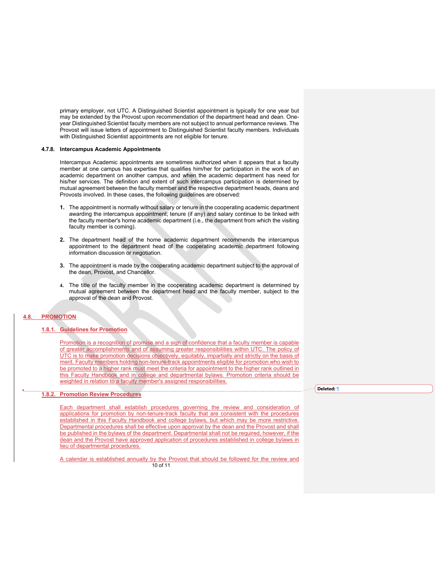primary employer, not UTC. A Distinguished Scientist appointment is typically for one year but may be extended by the Provost upon recommendation of the department head and dean. Oneyear Distinguished Scientist faculty members are not subject to annual performance reviews. The Provost will issue letters of appointment to Distinguished Scientist faculty members. Individuals with Distinguished Scientist appointments are not eligible for tenure.

#### **4.7.8. Intercampus Academic Appointments**

Intercampus Academic appointments are sometimes authorized when it appears that a faculty member at one campus has expertise that qualifies him/her for participation in the work of an academic department on another campus, and when the academic department has need for his/her services. The definition and extent of such intercampus participation is determined by mutual agreement between the faculty member and the respective department heads, deans and Provosts involved. In these cases, the following guidelines are observed:

- **1.** The appointment is normally without salary or tenure in the cooperating academic department awarding the intercampus appointment; tenure (if any) and salary continue to be linked with the faculty member's home academic department (i.e., the department from which the visiting faculty member is coming).
- **2.** The department head of the home academic department recommends the intercampus appointment to the department head of the cooperating academic department following information discussion or negotiation.
- **3.** The appointment is made by the cooperating academic department subject to the approval of the dean, Provost, and Chancellor.
- **4.** The title of the faculty member in the cooperating academic department is determined by mutual agreement between the department head and the faculty member, subject to the approval of the dean and Provost.

# **4.8. PROMOTION**

# **1.8.1. Guidelines for Promotion**

Promotion is a recognition of promise and a sign of confidence that a faculty member is capable of greater accomplishments and of assuming greater responsibilities within UTC. The policy of UTC is to make promotion decisions objectively, equitably, impartially and strictly on the basis of merit. Faculty members holding non-tenure-track appointments eligible for promotion who wish to be promoted to a higher rank must meet the criteria for appointment to the higher rank outlined in this Faculty Handbook and in college and departmental bylaws. Promotion criteria should be weighted in relation to a faculty member's assigned responsibilities.

#### **1.8.2. Promotion Review Procedures**

Each department shall establish procedures governing the review and consideration of applications for promotion by non-tenure-track faculty that are consistent with the procedures established in this Faculty Handbook and college bylaws, but which may be more restrictive. Departmental procedures shall be effective upon approval by the dean and the Provost and shall be published in the bylaws of the department. Departmental shall not be required, however, if the dean and the Provost have approved application of procedures established in college bylaws in lieu of departmental procedures.

10 of 11 A calendar is established annually by the Provost that should be followed for the review and **Deleted:** ¶